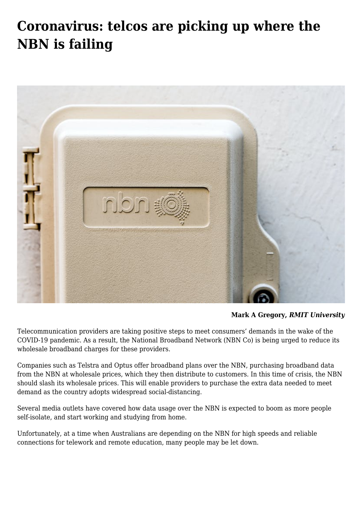# **[Coronavirus: telcos are picking up where the](https://www.melbpc.org.au/coronavirus-telcos-are-picking-up-where-the-nbn-is-failing/) [NBN is failing](https://www.melbpc.org.au/coronavirus-telcos-are-picking-up-where-the-nbn-is-failing/)**



**[Mark A Gregory,](https://theconversation.com/profiles/mark-a-gregory-619)** *[RMIT University](https://theconversation.com/institutions/rmit-university-1063)*

Telecommunication providers are taking positive steps to meet consumers' demands in the wake of the COVID-19 pandemic. As a result, the National Broadband Network (NBN Co) is being urged to reduce its wholesale broadband charges for these providers.

Companies such as Telstra and Optus offer broadband plans over the NBN, purchasing broadband data from the NBN at wholesale prices, which they then distribute to customers. In this time of crisis, the NBN should slash its wholesale prices. This will enable providers to purchase the extra data needed to meet demand as the country adopts widespread social-distancing.

[Several](https://www.smh.com.au/politics/federal/nbn-urged-to-intervene-as-pandemic-tests-broadband-connections-20200316-p54ain.html) [media](https://www.theaustralian.com.au/business/technology/unprecedented-demand-for-nbn/news-story/753610eb604595b878cd8880739d4618) [outlets](https://www.abc.net.au/radionational/programs/breakfast/nbn-braces-for-increased-load-as-covid-19-keeps-people-at-home/12062128) have covered how data usage over the NBN is expected to boom as more people self-isolate, and start working and studying from home.

Unfortunately, at a time when Australians are depending on the NBN for high speeds and reliable connections for telework and remote education, many people may be let down.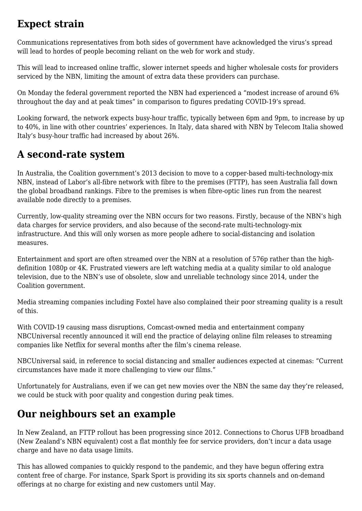#### **Expect strain**

Communications representatives from [both](https://www.paulfletcher.com.au/media-releases/media-release-telco-industry-roundtable-on-covid-19) [sides](https://www.michellerowland.com.au/news/media-releases-communications/media-release-temporary-capacity-relief-for-telcos-should-be-considered-if-nbn-becomes-congested-16-march-2020/) of government have acknowledged the virus's spread will lead to hordes of people becoming reliant on the web for work and study.

This will lead to increased online traffic, slower internet speeds and higher wholesale costs for providers serviced by the NBN, limiting the amount of extra data these providers can purchase.

On Monday the [federal government](https://www.paulfletcher.com.au/media-releases/media-release-telco-industry-roundtable-on-covid-19) reported the NBN had experienced a "modest increase of around 6% throughout the day and at peak times" in comparison to figures predating COVID-19's spread.

Looking forward, the network expects busy-hour traffic, typically between 6pm and 9pm, to [increase by up](https://minister.infrastructure.gov.au/fletcher/media-release/telco-industry-roundtable-covid-19) [to 40%](https://minister.infrastructure.gov.au/fletcher/media-release/telco-industry-roundtable-covid-19), in line with other countries' experiences. In Italy, data shared with NBN by [Telecom Italia](https://www.telecomitalia.com/tit/it.html) showed Italy's busy-hour traffic had increased by about 26%.

### **A second-rate system**

In Australia, the Coalition government's 2013 decision to move to a copper-based multi-technology-mix NBN, instead of Labor's all-fibre network with fibre to the premises (FTTP), has seen Australia fall down the global broadband rankings. Fibre to the premises is when fibre-optic lines run from the nearest available node directly to a premises.

Currently, low-quality streaming over the NBN occurs for two reasons. Firstly, because of the NBN's high data charges for service providers, and also because of the second-rate multi-technology-mix infrastructure. And this will only worsen as more people adhere to social-distancing and isolation measures.

Entertainment and sport are often streamed over the NBN at a resolution of 576p rather than the highdefinition 1080p or 4K. Frustrated viewers are left watching media at a quality similar to old analogue television, due to the NBN's use of obsolete, slow and unreliable technology since 2014, under the Coalition government.

Media streaming companies including [Foxtel](https://www.foxtel.com.au/whats-on/foxtel-insider/foxtel/iq4k/satellite-vs-internet.html) have also complained their poor streaming quality is a result of this.

With COVID-19 causing mass disruptions, Comcast-owned media and entertainment company NBCUniversal recently [announced](https://corporate.comcast.com/press/releases/comcast-nbcuniversal-moves-to-make-current-movies-available-in-the-home) it will end the practice of delaying online film releases to streaming companies like Netflix for several months after the film's cinema release.

NBCUniversal said, in reference to social distancing and smaller audiences expected at cinemas: "Current circumstances have made it more challenging to view our films."

Unfortunately for Australians, even if we can get new movies over the NBN the same day they're released, we could be stuck with poor quality and congestion during peak times.

## **Our neighbours set an example**

In New Zealand, an FTTP rollout has been progressing since 2012. Connections to Chorus [UFB broadband](https://www.chorus.co.nz/) (New Zealand's NBN equivalent) cost a flat monthly fee for service providers, don't incur a data usage charge and have no data usage limits.

This has allowed companies to quickly respond to the pandemic, and they have begun offering extra content free of charge. For instance, [Spark Sport](http://itwire.com/entertainment/nz-s-spark-sport-channel-offers-free-viewing-until-may.html) is providing its six sports channels and on-demand offerings at no charge for existing and new customers until May.